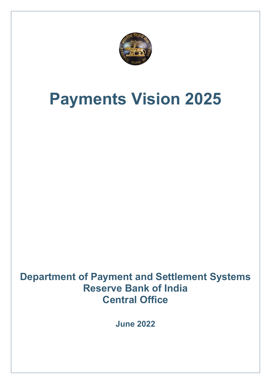

# **Payments Vision 2025**

**Department of Payment and Settlement Systems Reserve Bank of India Central Office**

**June 2022**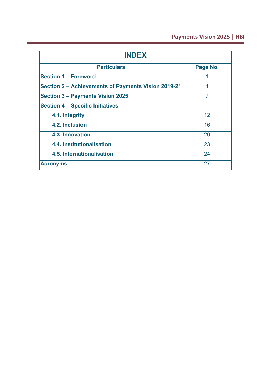### **Payments Vision 2025 | RBI**

| <b>INDEX</b>                                        |          |
|-----------------------------------------------------|----------|
| <b>Particulars</b>                                  | Page No. |
| <b>Section 1 - Foreword</b>                         | 1        |
| Section 2 – Achievements of Payments Vision 2019-21 | 4        |
| Section 3 - Payments Vision 2025                    | 7        |
| <b>Section 4 - Specific Initiatives</b>             |          |
| 4.1. Integrity                                      | 12       |
| 4.2. Inclusion                                      | 16       |
| 4.3. Innovation                                     | 20       |
| 4.4. Institutionalisation                           | 23       |
| 4.5. Internationalisation                           | 24       |
| <b>Acronyms</b>                                     | 27       |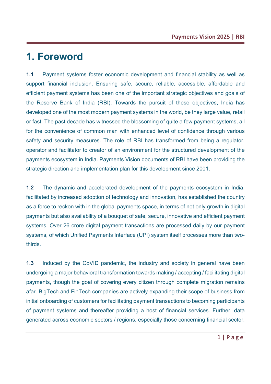## **1. Foreword**

**1.1** Payment systems foster economic development and financial stability as well as support financial inclusion. Ensuring safe, secure, reliable, accessible, affordable and efficient payment systems has been one of the important strategic objectives and goals of the Reserve Bank of India (RBI). Towards the pursuit of these objectives, India has developed one of the most modern payment systems in the world, be they large value, retail or fast. The past decade has witnessed the blossoming of quite a few payment systems, all for the convenience of common man with enhanced level of confidence through various safety and security measures. The role of RBI has transformed from being a regulator, operator and facilitator to creator of an environment for the structured development of the payments ecosystem in India. Payments Vision documents of RBI have been providing the strategic direction and implementation plan for this development since 2001.

**1.2** The dynamic and accelerated development of the payments ecosystem in India, facilitated by increased adoption of technology and innovation, has established the country as a force to reckon with in the global payments space, in terms of not only growth in digital payments but also availability of a bouquet of safe, secure, innovative and efficient payment systems. Over 26 crore digital payment transactions are processed daily by our payment systems, of which Unified Payments Interface (UPI) system itself processes more than twothirds.

**1.3** Induced by the CoVID pandemic, the industry and society in general have been undergoing a major behavioral transformation towards making / accepting / facilitating digital payments, though the goal of covering every citizen through complete migration remains afar. BigTech and FinTech companies are actively expanding their scope of business from initial onboarding of customers for facilitating payment transactions to becoming participants of payment systems and thereafter providing a host of financial services. Further, data generated across economic sectors / regions, especially those concerning financial sector,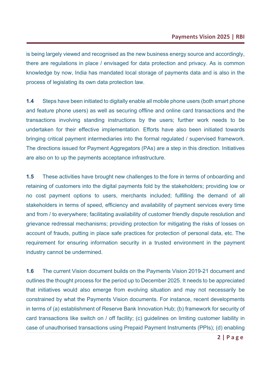is being largely viewed and recognised as the new business energy source and accordingly, there are regulations in place / envisaged for data protection and privacy. As is common knowledge by now, India has mandated local storage of payments data and is also in the process of legislating its own data protection law.

**1.4** Steps have been initiated to digitally enable all mobile phone users (both smart phone and feature phone users) as well as securing offline and online card transactions and the transactions involving standing instructions by the users; further work needs to be undertaken for their effective implementation. Efforts have also been initiated towards bringing critical payment intermediaries into the formal regulated / supervised framework. The directions issued for Payment Aggregators (PAs) are a step in this direction. Initiatives are also on to up the payments acceptance infrastructure.

**1.5** These activities have brought new challenges to the fore in terms of onboarding and retaining of customers into the digital payments fold by the stakeholders; providing low or no cost payment options to users, merchants included; fulfilling the demand of all stakeholders in terms of speed, efficiency and availability of payment services every time and from / to everywhere; facilitating availability of customer friendly dispute resolution and grievance redressal mechanisms; providing protection for mitigating the risks of losses on account of frauds, putting in place safe practices for protection of personal data, etc. The requirement for ensuring information security in a trusted environment in the payment industry cannot be undermined.

**1.6** The current Vision document builds on the Payments Vision 2019-21 document and outlines the thought process for the period up to December 2025. It needs to be appreciated that initiatives would also emerge from evolving situation and may not necessarily be constrained by what the Payments Vision documents. For instance, recent developments in terms of (a) establishment of Reserve Bank Innovation Hub; (b) framework for security of card transactions like switch on / off facility; (c) guidelines on limiting customer liability in case of unauthorised transactions using Prepaid Payment Instruments (PPIs); (d) enabling

**2 | Page**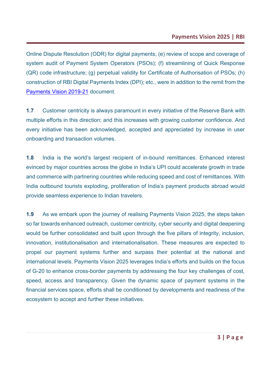Online Dispute Resolution (ODR) for digital payments; (e) review of scope and coverage of system audit of Payment System Operators (PSOs); (f) streamlining of Quick Response (QR) code infrastructure; (g) perpetual validity for Certificate of Authorisation of PSOs; (h) construction of RBI Digital Payments Index (DPI); etc., were in addition to the remit from the [Payments Vision 2019-21](https://www.rbi.org.in/Scripts/PublicationVisionDocuments.aspx?Id=921) document.

**1.7** Customer centricity is always paramount in every initiative of the Reserve Bank with multiple efforts in this direction; and this increases with growing customer confidence. And every initiative has been acknowledged, accepted and appreciated by increase in user onboarding and transaction volumes.

**1.8** India is the world's largest recipient of in-bound remittances. Enhanced interest evinced by major countries across the globe in India's UPI could accelerate growth in trade and commerce with partnering countries while reducing speed and cost of remittances. With India outbound tourists exploding, proliferation of India's payment products abroad would provide seamless experience to Indian travelers.

**1.9** As we embark upon the journey of realising Payments Vision 2025, the steps taken so far towards enhanced outreach, customer centricity, cyber security and digital deepening would be further consolidated and built upon through the five pillars of integrity, inclusion, innovation, institutionalisation and internationalisation. These measures are expected to propel our payment systems further and surpass their potential at the national and international levels. Payments Vision 2025 leverages India's efforts and builds on the focus of G-20 to enhance cross-border payments by addressing the four key challenges of cost, speed, access and transparency. Given the dynamic space of payment systems in the financial services space, efforts shall be conditioned by developments and readiness of the ecosystem to accept and further these initiatives.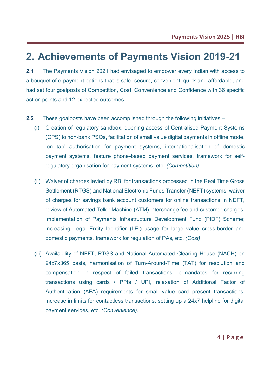# **2. Achievements of Payments Vision 2019-21**

**2.1** The Payments Vision 2021 had envisaged to empower every Indian with access to a bouquet of e-payment options that is safe, secure, convenient, quick and affordable, and had set four goalposts of Competition, Cost, Convenience and Confidence with 36 specific action points and 12 expected outcomes.

- **2.2** These goalposts have been accomplished through the following initiatives
	- (i) Creation of regulatory sandbox, opening access of Centralised Payment Systems (CPS) to non-bank PSOs, facilitation of small value digital payments in offline mode, 'on tap' authorisation for payment systems, internationalisation of domestic payment systems, feature phone-based payment services, framework for selfregulatory organisation for payment systems, etc. *(Competition)*.
	- (ii) Waiver of charges levied by RBI for transactions processed in the Real Time Gross Settlement (RTGS) and National Electronic Funds Transfer (NEFT) systems, waiver of charges for savings bank account customers for online transactions in NEFT, review of Automated Teller Machine (ATM) interchange fee and customer charges, implementation of Payments Infrastructure Development Fund (PIDF) Scheme; increasing Legal Entity Identifier (LEI) usage for large value cross-border and domestic payments, framework for regulation of PAs, etc. *(Cost).*
	- (iii) Availability of NEFT, RTGS and National Automated Clearing House (NACH) on 24x7x365 basis, harmonisation of Turn-Around-Time (TAT) for resolution and compensation in respect of failed transactions, e-mandates for recurring transactions using cards / PPIs / UPI, relaxation of Additional Factor of Authentication (AFA) requirements for small value card present transactions, increase in limits for contactless transactions, setting up a 24x7 helpline for digital payment services, etc. *(Convenience)*.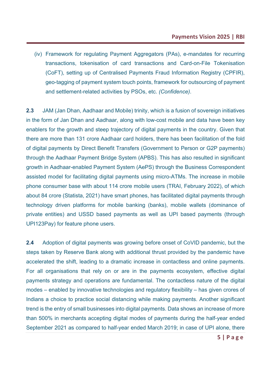(iv) Framework for regulating Payment Aggregators (PAs), e-mandates for recurring transactions, tokenisation of card transactions and Card-on-File Tokenisation (CoFT), setting up of Centralised Payments Fraud Information Registry (CPFIR), geo-tagging of payment system touch points, framework for outsourcing of payment and settlement-related activities by PSOs, etc. *(Confidence)*.

**2.3** JAM (Jan Dhan, Aadhaar and Mobile) trinity, which is a fusion of sovereign initiatives in the form of Jan Dhan and Aadhaar, along with low-cost mobile and data have been key enablers for the growth and steep trajectory of digital payments in the country. Given that there are more than 131 crore Aadhaar card holders, there has been facilitation of the fold of digital payments by Direct Benefit Transfers (Government to Person or G2P payments) through the Aadhaar Payment Bridge System (APBS). This has also resulted in significant growth in Aadhaar-enabled Payment System (AePS) through the Business Correspondent assisted model for facilitating digital payments using micro-ATMs. The increase in mobile phone consumer base with about 114 crore mobile users (TRAI, February 2022), of which about 84 crore (Statista, 2021) have smart phones, has facilitated digital payments through technology driven platforms for mobile banking (banks), mobile wallets (dominance of private entities) and USSD based payments as well as UPI based payments (through UPI123Pay) for feature phone users.

**2.4** Adoption of digital payments was growing before onset of CoVID pandemic, but the steps taken by Reserve Bank along with additional thrust provided by the pandemic have accelerated the shift, leading to a dramatic increase in contactless and online payments. For all organisations that rely on or are in the payments ecosystem, effective digital payments strategy and operations are fundamental. The contactless nature of the digital modes – enabled by innovative technologies and regulatory flexibility – has given crores of Indians a choice to practice social distancing while making payments. Another significant trend is the entry of small businesses into digital payments. Data shows an increase of more than 500% in merchants accepting digital modes of payments during the half-year ended September 2021 as compared to half-year ended March 2019; in case of UPI alone, there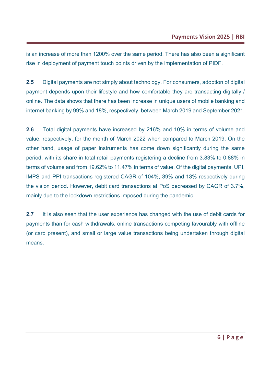is an increase of more than 1200% over the same period. There has also been a significant rise in deployment of payment touch points driven by the implementation of PIDF.

**2.5** Digital payments are not simply about technology. For consumers, adoption of digital payment depends upon their lifestyle and how comfortable they are transacting digitally / online. The data shows that there has been increase in unique users of mobile banking and internet banking by 99% and 18%, respectively, between March 2019 and September 2021.

**2.6** Total digital payments have increased by 216% and 10% in terms of volume and value, respectively, for the month of March 2022 when compared to March 2019. On the other hand, usage of paper instruments has come down significantly during the same period, with its share in total retail payments registering a decline from 3.83% to 0.88% in terms of volume and from 19.62% to 11.47% in terms of value. Of the digital payments, UPI, IMPS and PPI transactions registered CAGR of 104%, 39% and 13% respectively during the vision period. However, debit card transactions at PoS decreased by CAGR of 3.7%, mainly due to the lockdown restrictions imposed during the pandemic.

**2.7** It is also seen that the user experience has changed with the use of debit cards for payments than for cash withdrawals, online transactions competing favourably with offline (or card present), and small or large value transactions being undertaken through digital means.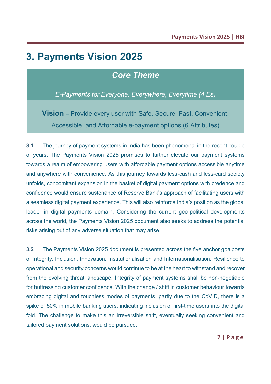# **3. Payments Vision 2025**

### *Core Theme*

*E-Payments for Everyone, Everywhere, Everytime (4 Es)*

**Vision** – Provide every user with Safe, Secure, Fast, Convenient, Accessible, and Affordable e-payment options (6 Attributes)

**3.1** The journey of payment systems in India has been phenomenal in the recent couple of years. The Payments Vision 2025 promises to further elevate our payment systems towards a realm of empowering users with affordable payment options accessible anytime and anywhere with convenience. As this journey towards less-cash and less-card society unfolds, concomitant expansion in the basket of digital payment options with credence and confidence would ensure sustenance of Reserve Bank's approach of facilitating users with a seamless digital payment experience. This will also reinforce India's position as the global leader in digital payments domain. Considering the current geo-political developments across the world, the Payments Vision 2025 document also seeks to address the potential risks arising out of any adverse situation that may arise.

**3.2** The Payments Vision 2025 document is presented across the five anchor goalposts of Integrity, Inclusion, Innovation, Institutionalisation and Internationalisation. Resilience to operational and security concerns would continue to be at the heart to withstand and recover from the evolving threat landscape. Integrity of payment systems shall be non-negotiable for buttressing customer confidence. With the change / shift in customer behaviour towards embracing digital and touchless modes of payments, partly due to the CoVID, there is a spike of 50% in mobile banking users, indicating inclusion of first-time users into the digital fold. The challenge to make this an irreversible shift, eventually seeking convenient and tailored payment solutions, would be pursued.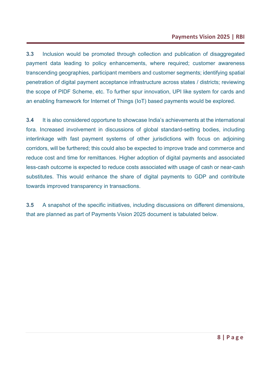**3.3** Inclusion would be promoted through collection and publication of disaggregated payment data leading to policy enhancements, where required; customer awareness transcending geographies, participant members and customer segments; identifying spatial penetration of digital payment acceptance infrastructure across states / districts; reviewing the scope of PIDF Scheme, etc. To further spur innovation, UPI like system for cards and an enabling framework for Internet of Things (IoT) based payments would be explored.

**3.4** It is also considered opportune to showcase India's achievements at the international fora. Increased involvement in discussions of global standard-setting bodies, including interlinkage with fast payment systems of other jurisdictions with focus on adjoining corridors, will be furthered; this could also be expected to improve trade and commerce and reduce cost and time for remittances. Higher adoption of digital payments and associated less-cash outcome is expected to reduce costs associated with usage of cash or near-cash substitutes. This would enhance the share of digital payments to GDP and contribute towards improved transparency in transactions.

**3.5** A snapshot of the specific initiatives, including discussions on different dimensions, that are planned as part of Payments Vision 2025 document is tabulated below.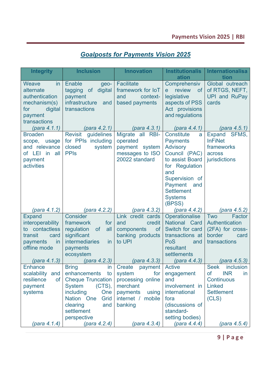### *Goalposts for Payments Vision 2025*

| <b>Integrity</b>                                                                                         | <b>Inclusion</b>                                                                                                                                                                             | <b>Innovation</b>                                                                                                           | <b>Institutionalis</b><br>ation                                                                                                                                                                      | <b>Internationalisa</b><br>tion                                                                                        |
|----------------------------------------------------------------------------------------------------------|----------------------------------------------------------------------------------------------------------------------------------------------------------------------------------------------|-----------------------------------------------------------------------------------------------------------------------------|------------------------------------------------------------------------------------------------------------------------------------------------------------------------------------------------------|------------------------------------------------------------------------------------------------------------------------|
| Weave<br>in<br>alternate<br>authentication<br>mechanism(s)<br>digital<br>for<br>payment<br>transactions  | <b>Enable</b><br>geo-<br>tagging of digital<br>payment<br>infrastructure<br>and<br>transactions                                                                                              | <b>Facilitate</b><br>framework for IoT<br>and<br>context-<br>based payments                                                 | Comprehensiv<br>review<br>of<br>e<br>legislative<br>aspects of PSS<br>Act provisions<br>and regulations                                                                                              | Global outreach<br>of RTGS, NEFT,<br><b>UPI and RuPay</b><br>cards                                                     |
| (para 4.1.1)                                                                                             | (para 4.2.1)                                                                                                                                                                                 | (para 4.3.1)                                                                                                                | (para 4.4.1)                                                                                                                                                                                         | (para 4.5.1)                                                                                                           |
| <b>Broaden</b><br>scope, usage<br>and relevance<br>of LEI in all<br>payment<br>activities                | guidelines<br><b>Revisit</b><br>for PPIs including<br>closed<br>system<br><b>PPIs</b>                                                                                                        | Migrate all RBI-<br>operated<br>payment system<br>messages to ISO<br>20022 standard                                         | Constitute<br>a<br><b>Payments</b><br><b>Advisory</b><br>Council (PAC)<br>to assist Board<br>for Regulation<br>and<br>Supervision of<br>Payment and<br><b>Settlement</b><br><b>Systems</b><br>(BPSS) | <b>Expand</b><br>SFMS,<br><b>InFiNet</b><br>frameworks<br>across<br>jurisdictions                                      |
| (para 4.1.2)                                                                                             | (para 4.2.2)                                                                                                                                                                                 | (para 4.3.2)                                                                                                                | (para 4.4.2)                                                                                                                                                                                         | (para 4.5.2)                                                                                                           |
| <b>Expand</b><br>interoperability<br>to contactless<br>transit<br>card<br>payments<br>in<br>offline mode | Consider<br>framework<br>for<br>regulation<br><b>of</b><br>all<br>significant<br><b>intermediaries</b><br><i>in</i><br>payments<br>ecosystem                                                 | Link credit cards<br>credit<br>and<br>components<br><b>of</b><br>banking products<br>to UPI                                 | Operationalise<br>National Card<br>Switch for card<br>transactions at<br>PoS<br>and<br>resultant<br>settlements                                                                                      | Factor<br>Two<br>Authentication<br>(2FA) for cross-<br>border<br>card<br>transactions                                  |
| (para 4.1.3)                                                                                             | (para 4.2.3)                                                                                                                                                                                 | (para 4.3.3)                                                                                                                | (para 4.4.3)                                                                                                                                                                                         | (para 4.5.3)                                                                                                           |
| <b>Enhance</b><br>scalability<br>and<br>resilience<br>of<br>payment<br>systems                           | <b>Bring</b><br>in<br>enhancements<br>to<br><b>Cheque Truncation</b><br><b>System</b><br>$(CTS)$ ,<br>including<br>One<br>Nation One<br>Grid<br>clearing<br>and<br>settlement<br>perspective | Create<br>payment<br>system<br>for<br>processing online<br>merchant<br>payments<br>using<br>internet /<br>mobile<br>banking | <b>Active</b><br>engagement<br>and<br>involvement in<br>international<br>fora<br>(discussions of<br>standard-<br>setting bodies)                                                                     | <b>Seek</b><br>inclusion<br><b>INR</b><br>οf<br>In<br><b>Continuous</b><br><b>Linked</b><br><b>Settlement</b><br>(CLS) |
| (para 4.1.4)                                                                                             | (para 4.2.4)                                                                                                                                                                                 | (para 4.3.4)                                                                                                                | (para 4.4.4)                                                                                                                                                                                         | (para 4.5.4)                                                                                                           |

**9 | Page**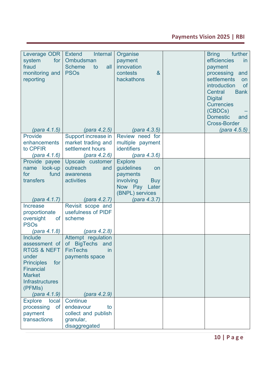### **Payments Vision 2025 | RBI**

| Leverage ODR<br>system<br>for<br>fraud<br>monitoring and<br>reporting                                                                                                    | <b>Extend</b><br><b>Internal</b><br>Ombudsman<br>all<br><b>Scheme</b><br>to<br><b>PSOs</b> | Organise<br>payment<br>innovation<br>contests<br>$\alpha$<br>hackathons                                          | <b>Bring</b><br>further<br>efficiencies<br>in.<br>payment<br>processing<br>and<br>settlements<br>on<br>introduction<br><b>of</b><br><b>Central</b><br><b>Bank</b><br><b>Digital</b><br><b>Currencies</b><br>(CBDCs)<br><b>Domestic</b><br>and<br><b>Cross-Border</b> |
|--------------------------------------------------------------------------------------------------------------------------------------------------------------------------|--------------------------------------------------------------------------------------------|------------------------------------------------------------------------------------------------------------------|----------------------------------------------------------------------------------------------------------------------------------------------------------------------------------------------------------------------------------------------------------------------|
| (para 4.1.5)                                                                                                                                                             | (para 4.2.5)                                                                               | (para 4.3.5)                                                                                                     | (para 4.5.5)                                                                                                                                                                                                                                                         |
| <b>Provide</b><br>enhancements<br>to CPFIR<br>(para 4.1.6)                                                                                                               | Support increase in<br>market trading and<br>settlement hours<br>$(\text{para } 4.2.6)$    | Review need for<br>multiple payment<br>identifiers<br>(para 4.3.6)                                               |                                                                                                                                                                                                                                                                      |
| Provide payee<br>name look-up<br>fund<br>for<br>transfers                                                                                                                | Upscale customer<br>outreach<br>and<br>awareness<br>activities                             | <b>Explore</b><br>guidelines<br>on<br>payments<br>involving<br><b>Buy</b><br>Now Pay<br>Later<br>(BNPL) services |                                                                                                                                                                                                                                                                      |
| (para 4.1.7)                                                                                                                                                             | (para 4.2.7)                                                                               | (para 4.3.7)                                                                                                     |                                                                                                                                                                                                                                                                      |
| Increase<br>proportionate<br>oversight<br>of<br><b>PSOs</b>                                                                                                              | Revisit scope and<br>usefulness of PIDF<br>scheme                                          |                                                                                                                  |                                                                                                                                                                                                                                                                      |
| (para 4.1.8)                                                                                                                                                             | (para 4.2.8)                                                                               |                                                                                                                  |                                                                                                                                                                                                                                                                      |
| <b>Include</b><br>assessment of<br><b>RTGS &amp; NEFT</b><br>under<br><b>Principles</b><br>for<br><b>Financial</b><br><b>Market</b><br><b>Infrastructures</b><br>(PFMIs) | Attempt regulation<br>of BigTechs<br>and<br><b>FinTechs</b><br>in<br>payments space        |                                                                                                                  |                                                                                                                                                                                                                                                                      |
| (para 4.1.9)                                                                                                                                                             | (para 4.2.9)                                                                               |                                                                                                                  |                                                                                                                                                                                                                                                                      |
| <b>Explore</b><br>local<br>processing<br><b>of</b><br>payment<br>transactions                                                                                            | Continue<br>endeavour<br>to<br>collect and publish<br>granular,<br>disaggregated           |                                                                                                                  |                                                                                                                                                                                                                                                                      |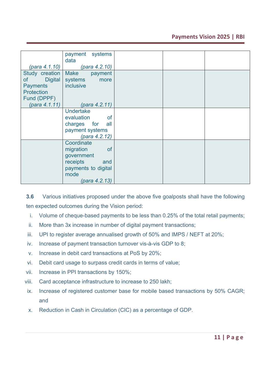#### **Payments Vision 2025 | RBI**

|                      | payment systems         |  |  |
|----------------------|-------------------------|--|--|
|                      | data                    |  |  |
| (para 4.1.10)        | (para 4.2.10)           |  |  |
| Study creation       | <b>Make</b><br>payment  |  |  |
| <b>Digital</b><br>of | systems<br>more         |  |  |
| <b>Payments</b>      | inclusive               |  |  |
| <b>Protection</b>    |                         |  |  |
|                      |                         |  |  |
| Fund (DPPF)          |                         |  |  |
| (para 4.1.11)        | (para 4.2.11)           |  |  |
|                      | <b>Undertake</b>        |  |  |
|                      | evaluation<br><b>of</b> |  |  |
|                      | charges for<br>all      |  |  |
|                      | payment systems         |  |  |
|                      |                         |  |  |
|                      | (para 4.2.12)           |  |  |
|                      | Coordinate              |  |  |
|                      | migration<br><b>of</b>  |  |  |
|                      | government              |  |  |
|                      | receipts<br>and         |  |  |
|                      | payments to digital     |  |  |
|                      |                         |  |  |
|                      | mode                    |  |  |
|                      | (para 4.2.13)           |  |  |

**3.6** Various initiatives proposed under the above five goalposts shall have the following ten expected outcomes during the Vision period:

- i. Volume of cheque-based payments to be less than 0.25% of the total retail payments;
- ii. More than 3x increase in number of digital payment transactions;
- iii. UPI to register average annualised growth of 50% and IMPS / NEFT at 20%;
- iv. Increase of payment transaction turnover vis-à-vis GDP to 8;
- v. Increase in debit card transactions at PoS by 20%;
- vi. Debit card usage to surpass credit cards in terms of value;
- vii. Increase in PPI transactions by 150%;
- viii. Card acceptance infrastructure to increase to 250 lakh;
- ix. Increase of registered customer base for mobile based transactions by 50% CAGR; and
- x. Reduction in Cash in Circulation (CIC) as a percentage of GDP.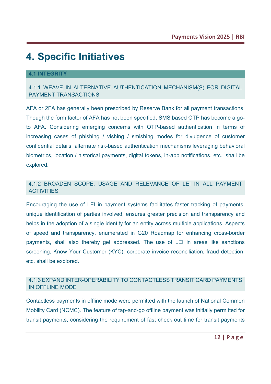# **4. Specific Initiatives**

#### **4.1 INTEGRITY**

#### 4.1.1 WEAVE IN ALTERNATIVE AUTHENTICATION MECHANISM(S) FOR DIGITAL PAYMENT TRANSACTIONS

AFA or 2FA has generally been prescribed by Reserve Bank for all payment transactions. Though the form factor of AFA has not been specified, SMS based OTP has become a goto AFA. Considering emerging concerns with OTP-based authentication in terms of increasing cases of phishing / vishing / smishing modes for divulgence of customer confidential details, alternate risk-based authentication mechanisms leveraging behavioral biometrics, location / historical payments, digital tokens, in-app notifications, etc., shall be explored.

#### 4.1.2 BROADEN SCOPE, USAGE AND RELEVANCE OF LEI IN ALL PAYMENT **ACTIVITIES**

Encouraging the use of LEI in payment systems facilitates faster tracking of payments, unique identification of parties involved, ensures greater precision and transparency and helps in the adoption of a single identity for an entity across multiple applications. Aspects of speed and transparency, enumerated in G20 Roadmap for enhancing cross-border payments, shall also thereby get addressed. The use of LEI in areas like sanctions screening, Know Your Customer (KYC), corporate invoice reconciliation, fraud detection, etc. shall be explored.

#### 4.1.3 EXPAND INTER-OPERABILITY TO CONTACTLESS TRANSIT CARD PAYMENTS IN OFFLINE MODE

Contactless payments in offline mode were permitted with the launch of National Common Mobility Card (NCMC). The feature of tap-and-go offline payment was initially permitted for transit payments, considering the requirement of fast check out time for transit payments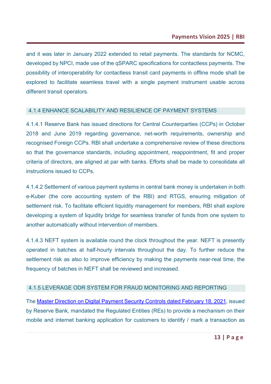and it was later in January 2022 extended to retail payments. The standards for NCMC, developed by NPCI, made use of the qSPARC specifications for contactless payments. The possibility of interoperability for contactless transit card payments in offline mode shall be explored to facilitate seamless travel with a single payment instrument usable across different transit operators.

#### 4.1.4 ENHANCE SCALABILITY AND RESILIENCE OF PAYMENT SYSTEMS

4.1.4.1 Reserve Bank has issued directions for Central Counterparties (CCPs) in October 2018 and June 2019 regarding governance, net-worth requirements, ownership and recognised Foreign CCPs. RBI shall undertake a comprehensive review of these directions so that the governance standards, including appointment, reappointment, fit and proper criteria of directors, are aligned at par with banks. Efforts shall be made to consolidate all instructions issued to CCPs.

4.1.4.2 Settlement of various payment systems in central bank money is undertaken in both e-Kuber (the core accounting system of the RBI) and RTGS, ensuring mitigation of settlement risk. To facilitate efficient liquidity management for members, RBI shall explore developing a system of liquidity bridge for seamless transfer of funds from one system to another automatically without intervention of members.

4.1.4.3 NEFT system is available round the clock throughout the year. NEFT is presently operated in batches at half-hourly intervals throughout the day. To further reduce the settlement risk as also to improve efficiency by making the payments near-real time, the frequency of batches in NEFT shall be reviewed and increased.

#### 4.1.5 LEVERAGE ODR SYSTEM FOR FRAUD MONITORING AND REPORTING

The [Master Direction on Digital Payment Security Controls dated February 18, 2021,](https://rbi.org.in/Scripts/BS_ViewMasDirections.aspx?id=12032) issued by Reserve Bank, mandated the Regulated Entities (REs) to provide a mechanism on their mobile and internet banking application for customers to identify / mark a transaction as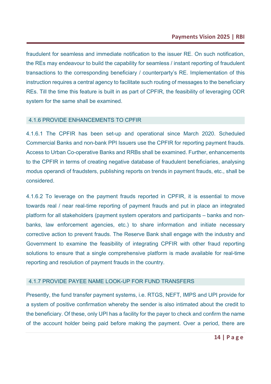fraudulent for seamless and immediate notification to the issuer RE. On such notification, the REs may endeavour to build the capability for seamless / instant reporting of fraudulent transactions to the corresponding beneficiary / counterparty's RE. Implementation of this instruction requires a central agency to facilitate such routing of messages to the beneficiary REs. Till the time this feature is built in as part of CPFIR, the feasibility of leveraging ODR system for the same shall be examined.

#### 4.1.6 PROVIDE ENHANCEMENTS TO CPFIR

4.1.6.1 The CPFIR has been set-up and operational since March 2020. Scheduled Commercial Banks and non-bank PPI Issuers use the CPFIR for reporting payment frauds. Access to Urban Co-operative Banks and RRBs shall be examined. Further, enhancements to the CPFIR in terms of creating negative database of fraudulent beneficiaries, analysing modus operandi of fraudsters, publishing reports on trends in payment frauds, etc., shall be considered.

4.1.6.2 To leverage on the payment frauds reported in CPFIR, it is essential to move towards real / near real-time reporting of payment frauds and put in place an integrated platform for all stakeholders (payment system operators and participants – banks and nonbanks, law enforcement agencies, etc.) to share information and initiate necessary corrective action to prevent frauds. The Reserve Bank shall engage with the industry and Government to examine the feasibility of integrating CPFIR with other fraud reporting solutions to ensure that a single comprehensive platform is made available for real-time reporting and resolution of payment frauds in the country.

#### 4.1.7 PROVIDE PAYEE NAME LOOK-UP FOR FUND TRANSFERS

Presently, the fund transfer payment systems, i.e. RTGS, NEFT, IMPS and UPI provide for a system of positive confirmation whereby the sender is also intimated about the credit to the beneficiary. Of these, only UPI has a facility for the payer to check and confirm the name of the account holder being paid before making the payment. Over a period, there are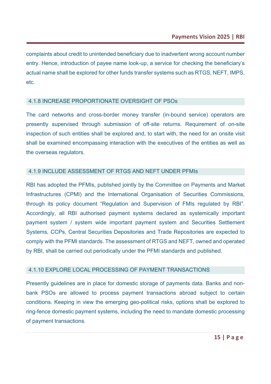complaints about credit to unintended beneficiary due to inadvertent wrong account number entry. Hence, introduction of payee name look-up, a service for checking the beneficiary's actual name shall be explored for other funds transfer systems such as RTGS, NEFT, IMPS, etc.

#### 4.1.8 INCREASE PROPORTIONATE OVERSIGHT OF PSOs

The card networks and cross-border money transfer (in-bound service) operators are presently supervised through submission of off-site returns. Requirement of on-site inspection of such entities shall be explored and, to start with, the need for an onsite visit shall be examined encompassing interaction with the executives of the entities as well as the overseas regulators.

#### 4.1.9 INCLUDE ASSESSMENT OF RTGS AND NEFT UNDER PFMIs

RBI has adopted the PFMIs, published jointly by the Committee on Payments and Market Infrastructures (CPMI) and the International Organisation of Securities Commissions, through its policy document "Regulation and Supervision of FMIs regulated by RBI". Accordingly, all RBI authorised payment systems declared as systemically important payment system / system wide important payment system and Securities Settlement Systems, CCPs, Central Securities Depositories and Trade Repositories are expected to comply with the PFMI standards. The assessment of RTGS and NEFT, owned and operated by RBI, shall be carried out periodically under the PFMI standards and published.

#### 4.1.10 EXPLORE LOCAL PROCESSING OF PAYMENT TRANSACTIONS

Presently guidelines are in place for domestic storage of payments data. Banks and nonbank PSOs are allowed to process payment transactions abroad subject to certain conditions. Keeping in view the emerging geo-political risks, options shall be explored to ring-fence domestic payment systems, including the need to mandate domestic processing of payment transactions.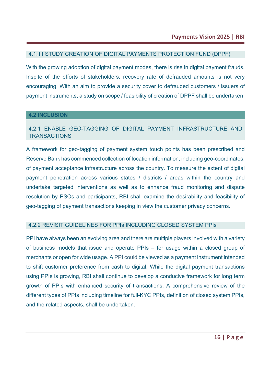#### 4.1.11 STUDY CREATION OF DIGITAL PAYMENTS PROTECTION FUND (DPPF)

With the growing adoption of digital payment modes, there is rise in digital payment frauds. Inspite of the efforts of stakeholders, recovery rate of defrauded amounts is not very encouraging. With an aim to provide a security cover to defrauded customers / issuers of payment instruments, a study on scope / feasibility of creation of DPPF shall be undertaken.

#### **4.2 INCLUSION**

#### 4.2.1 ENABLE GEO-TAGGING OF DIGITAL PAYMENT INFRASTRUCTURE AND **TRANSACTIONS**

A framework for geo-tagging of payment system touch points has been prescribed and Reserve Bank has commenced collection of location information, including geo-coordinates, of payment acceptance infrastructure across the country. To measure the extent of digital payment penetration across various states / districts / areas within the country and undertake targeted interventions as well as to enhance fraud monitoring and dispute resolution by PSOs and participants, RBI shall examine the desirability and feasibility of geo-tagging of payment transactions keeping in view the customer privacy concerns.

#### 4.2.2 REVISIT GUIDELINES FOR PPIs INCLUDING CLOSED SYSTEM PPIs

PPI have always been an evolving area and there are multiple players involved with a variety of business models that issue and operate PPIs – for usage within a closed group of merchants or open for wide usage. A PPI could be viewed as a payment instrument intended to shift customer preference from cash to digital. While the digital payment transactions using PPIs is growing, RBI shall continue to develop a conducive framework for long term growth of PPIs with enhanced security of transactions. A comprehensive review of the different types of PPIs including timeline for full-KYC PPIs, definition of closed system PPIs, and the related aspects, shall be undertaken.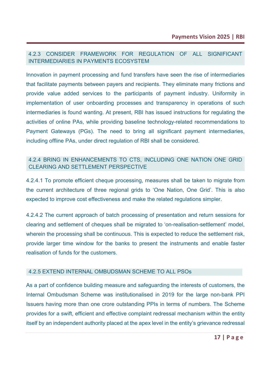#### 4.2.3 CONSIDER FRAMEWORK FOR REGULATION OF ALL SIGNIFICANT INTERMEDIARIES IN PAYMENTS ECOSYSTEM

Innovation in payment processing and fund transfers have seen the rise of intermediaries that facilitate payments between payers and recipients. They eliminate many frictions and provide value added services to the participants of payment industry. Uniformity in implementation of user onboarding processes and transparency in operations of such intermediaries is found wanting. At present, RBI has issued instructions for regulating the activities of online PAs, while providing baseline technology-related recommendations to Payment Gateways (PGs). The need to bring all significant payment intermediaries, including offline PAs, under direct regulation of RBI shall be considered.

#### 4.2.4 BRING IN ENHANCEMENTS TO CTS, INCLUDING ONE NATION ONE GRID CLEARING AND SETTLEMENT PERSPECTIVE

4.2.4.1 To promote efficient cheque processing, measures shall be taken to migrate from the current architecture of three regional grids to 'One Nation, One Grid'. This is also expected to improve cost effectiveness and make the related regulations simpler.

4.2.4.2 The current approach of batch processing of presentation and return sessions for clearing and settlement of cheques shall be migrated to 'on-realisation-settlement' model, wherein the processing shall be continuous. This is expected to reduce the settlement risk, provide larger time window for the banks to present the instruments and enable faster realisation of funds for the customers.

#### 4.2.5 EXTEND INTERNAL OMBUDSMAN SCHEME TO ALL PSOs

As a part of confidence building measure and safeguarding the interests of customers, the Internal Ombudsman Scheme was institutionalised in 2019 for the large non-bank PPI Issuers having more than one crore outstanding PPIs in terms of numbers. The Scheme provides for a swift, efficient and effective complaint redressal mechanism within the entity itself by an independent authority placed at the apex level in the entity's grievance redressal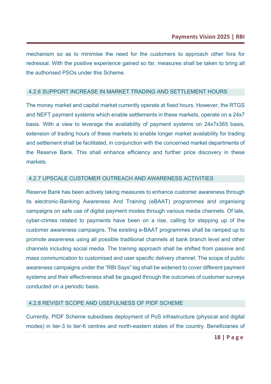mechanism so as to minimise the need for the customers to approach other fora for redressal. With the positive experience gained so far, measures shall be taken to bring all the authorised PSOs under this Scheme.

#### 4.2.6 SUPPORT INCREASE IN MARKET TRADING AND SETTLEMENT HOURS

The money market and capital market currently operate at fixed hours. However, the RTGS and NEFT payment systems which enable settlements in these markets, operate on a 24x7 basis. With a view to leverage the availability of payment systems on 24x7x365 basis, extension of trading hours of these markets to enable longer market availability for trading and settlement shall be facilitated, in conjunction with the concerned market departments of the Reserve Bank. This shall enhance efficiency and further price discovery in these markets.

#### 4.2.7 UPSCALE CUSTOMER OUTREACH AND AWARENESS ACTIVITIES

Reserve Bank has been actively taking measures to enhance customer awareness through its electronic-Banking Awareness And Training (eBAAT) programmes and organising campaigns on safe use of digital payment modes through various media channels. Of late, cyber-crimes related to payments have been on a rise, calling for stepping up of the customer awareness campaigns. The existing e-BAAT programmes shall be ramped up to promote awareness using all possible traditional channels at bank branch level and other channels including social media. The training approach shall be shifted from passive and mass communication to customised and user specific delivery channel. The scope of public awareness campaigns under the "RBI Says" tag shall be widened to cover different payment systems and their effectiveness shall be gauged through the outcomes of customer surveys conducted on a periodic basis.

#### 4.2.8 REVISIT SCOPE AND USEFULNESS OF PIDF SCHEME

Currently, PIDF Scheme subsidises deployment of PoS infrastructure (physical and digital modes) in tier-3 to tier-6 centres and north-eastern states of the country. Beneficiaries of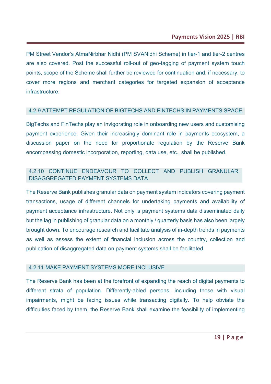PM Street Vendor's AtmaNirbhar Nidhi (PM SVANidhi Scheme) in tier-1 and tier-2 centres are also covered. Post the successful roll-out of geo-tagging of payment system touch points, scope of the Scheme shall further be reviewed for continuation and, if necessary, to cover more regions and merchant categories for targeted expansion of acceptance infrastructure.

#### 4.2.9 ATTEMPT REGULATION OF BIGTECHS AND FINTECHS IN PAYMENTS SPACE

BigTechs and FinTechs play an invigorating role in onboarding new users and customising payment experience. Given their increasingly dominant role in payments ecosystem, a discussion paper on the need for proportionate regulation by the Reserve Bank encompassing domestic incorporation, reporting, data use, etc., shall be published.

#### 4.2.10 CONTINUE ENDEAVOUR TO COLLECT AND PUBLISH GRANULAR, DISAGGREGATED PAYMENT SYSTEMS DATA

The Reserve Bank publishes granular data on payment system indicators covering payment transactions, usage of different channels for undertaking payments and availability of payment acceptance infrastructure. Not only is payment systems data disseminated daily but the lag in publishing of granular data on a monthly / quarterly basis has also been largely brought down. To encourage research and facilitate analysis of in-depth trends in payments as well as assess the extent of financial inclusion across the country, collection and publication of disaggregated data on payment systems shall be facilitated.

#### 4.2.11 MAKE PAYMENT SYSTEMS MORE INCLUSIVE

The Reserve Bank has been at the forefront of expanding the reach of digital payments to different strata of population. Differently-abled persons, including those with visual impairments, might be facing issues while transacting digitally. To help obviate the difficulties faced by them, the Reserve Bank shall examine the feasibility of implementing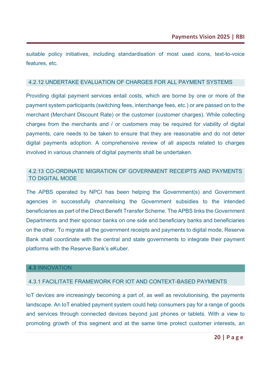suitable policy initiatives, including standardisation of most used icons, text-to-voice features, etc.

#### 4.2.12 UNDERTAKE EVALUATION OF CHARGES FOR ALL PAYMENT SYSTEMS

Providing digital payment services entail costs, which are borne by one or more of the payment system participants (switching fees, interchange fees, etc.) or are passed on to the merchant (Merchant Discount Rate) or the customer (customer charges). While collecting charges from the merchants and / or customers may be required for viability of digital payments, care needs to be taken to ensure that they are reasonable and do not deter digital payments adoption. A comprehensive review of all aspects related to charges involved in various channels of digital payments shall be undertaken.

#### 4.2.13 CO-ORDINATE MIGRATION OF GOVERNMENT RECEIPTS AND PAYMENTS TO DIGITAL MODE

The APBS operated by NPCI has been helping the Government(s) and Government agencies in successfully channelising the Government subsidies to the intended beneficiaries as part of the Direct Benefit Transfer Scheme. The APBS links the Government Departments and their sponsor banks on one side and beneficiary banks and beneficiaries on the other. To migrate all the government receipts and payments to digital mode, Reserve Bank shall coordinate with the central and state governments to integrate their payment platforms with the Reserve Bank's eKuber.

#### **4.3** INNOVATION

#### 4.3.1 FACILITATE FRAMEWORK FOR IOT AND CONTEXT-BASED PAYMENTS

IoT devices are increasingly becoming a part of, as well as revolutionising, the payments landscape. An IoT enabled payment system could help consumers pay for a range of goods and services through connected devices beyond just phones or tablets. With a view to promoting growth of this segment and at the same time protect customer interests, an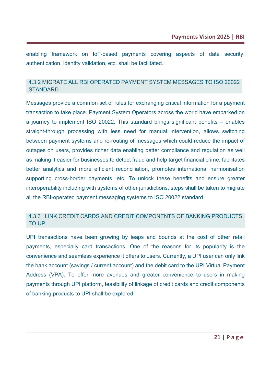enabling framework on IoT-based payments covering aspects of data security, authentication, identity validation, etc. shall be facilitated.

#### 4.3.2 MIGRATE ALL RBI OPERATED PAYMENT SYSTEM MESSAGES TO ISO 20022 **STANDARD**

Messages provide a common set of rules for exchanging critical information for a payment transaction to take place. Payment System Operators across the world have embarked on a journey to implement ISO 20022. This standard brings significant benefits – enables straight-through processing with less need for manual intervention, allows switching between payment systems and re-routing of messages which could reduce the impact of outages on users, provides richer data enabling better compliance and regulation as well as making it easier for businesses to detect fraud and help target financial crime, facilitates better analytics and more efficient reconciliation, promotes international harmonisation supporting cross-border payments, etc. To unlock these benefits and ensure greater interoperability including with systems of other jurisdictions, steps shall be taken to migrate all the RBI-operated payment messaging systems to ISO 20022 standard.

#### 4.3.3 LINK CREDIT CARDS AND CREDIT COMPONENTS OF BANKING PRODUCTS TO UPI

UPI transactions have been growing by leaps and bounds at the cost of other retail payments, especially card transactions. One of the reasons for its popularity is the convenience and seamless experience it offers to users. Currently, a UPI user can only link the bank account (savings / current account) and the debit card to the UPI Virtual Payment Address (VPA). To offer more avenues and greater convenience to users in making payments through UPI platform, feasibility of linkage of credit cards and credit components of banking products to UPI shall be explored.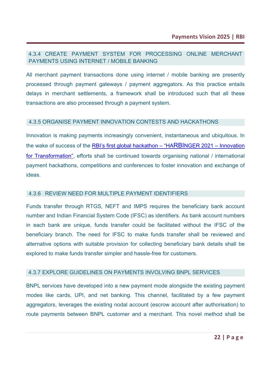#### 4.3.4 CREATE PAYMENT SYSTEM FOR PROCESSING ONLINE MERCHANT PAYMENTS USING INTERNET / MOBILE BANKING

All merchant payment transactions done using internet / mobile banking are presently processed through payment gateways / payment aggregators. As this practice entails delays in merchant settlements, a framework shall be introduced such that all these transactions are also processed through a payment system.

#### 4.3.5 ORGANISE PAYMENT INNOVATION CONTESTS AND HACKATHONS

Innovation is making payments increasingly convenient, instantaneous and ubiquitous. In the wake of success of the RBI's first global hackathon  $-$  "HARBINGER 2021 – Innovation [for Transformation",](https://www.rbi.org.in/Scripts/BS_PressReleaseDisplay.aspx?prid=52533) efforts shall be continued towards organising national / international payment hackathons, competitions and conferences to foster innovation and exchange of ideas.

#### 4.3.6 REVIEW NEED FOR MULTIPLE PAYMENT IDENTIFIERS

Funds transfer through RTGS, NEFT and IMPS requires the beneficiary bank account number and Indian Financial System Code (IFSC) as identifiers. As bank account numbers in each bank are unique, funds transfer could be facilitated without the IFSC of the beneficiary branch. The need for IFSC to make funds transfer shall be reviewed and alternative options with suitable provision for collecting beneficiary bank details shall be explored to make funds transfer simpler and hassle-free for customers.

#### 4.3.7 EXPLORE GUIDELINES ON PAYMENTS INVOLVING BNPL SERVICES

BNPL services have developed into a new payment mode alongside the existing payment modes like cards, UPI, and net banking. This channel, facilitated by a few payment aggregators, leverages the existing nodal account (escrow account after authorisation) to route payments between BNPL customer and a merchant. This novel method shall be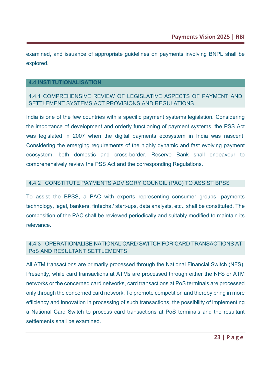examined, and issuance of appropriate guidelines on payments involving BNPL shall be explored.

#### **4.4 INSTITUTIONALISATION**

#### 4.4.1 COMPREHENSIVE REVIEW OF LEGISLATIVE ASPECTS OF PAYMENT AND SETTLEMENT SYSTEMS ACT PROVISIONS AND REGULATIONS

India is one of the few countries with a specific payment systems legislation. Considering the importance of development and orderly functioning of payment systems, the PSS Act was legislated in 2007 when the digital payments ecosystem in India was nascent. Considering the emerging requirements of the highly dynamic and fast evolving payment ecosystem, both domestic and cross-border, Reserve Bank shall endeavour to comprehensively review the PSS Act and the corresponding Regulations.

#### 4.4.2 CONSTITUTE PAYMENTS ADVISORY COUNCIL (PAC) TO ASSIST BPSS

To assist the BPSS, a PAC with experts representing consumer groups, payments technology, legal, bankers, fintechs / start-ups, data analysts, etc., shall be constituted. The composition of the PAC shall be reviewed periodically and suitably modified to maintain its relevance.

#### 4.4.3 OPERATIONALISE NATIONAL CARD SWITCH FOR CARD TRANSACTIONS AT PoS AND RESULTANT SETTLEMENTS

All ATM transactions are primarily processed through the National Financial Switch (NFS). Presently, while card transactions at ATMs are processed through either the NFS or ATM networks or the concerned card networks, card transactions at PoS terminals are processed only through the concerned card network. To promote competition and thereby bring in more efficiency and innovation in processing of such transactions, the possibility of implementing a National Card Switch to process card transactions at PoS terminals and the resultant settlements shall be examined.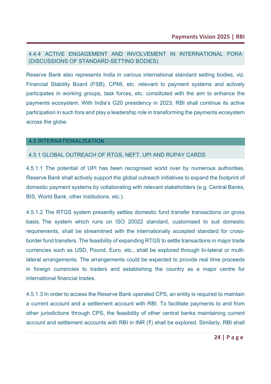#### 4.4.4 ACTIVE ENGAGEMENT AND INVOLVEMENT IN INTERNATIONAL FORA (DISCUSSIONS OF STANDARD-SETTING BODIES)

Reserve Bank also represents India in various international standard setting bodies, viz. Financial Stability Board (FSB), CPMI, etc. relevant to payment systems and actively participates in working groups, task forces, etc. constituted with the aim to enhance the payments ecosystem. With India's G20 presidency in 2023, RBI shall continue its active participation in such fora and play a leadership role in transforming the payments ecosystem across the globe.

#### **4.5 INTERNATIONALISATION**

#### 4.5.1 GLOBAL OUTREACH OF RTGS, NEFT, UPI AND RUPAY CARDS

4.5.1.1 The potential of UPI has been recognised world over by numerous authorities. Reserve Bank shall actively support the global outreach initiatives to expand the footprint of domestic payment systems by collaborating with relevant stakeholders (e.g. Central Banks, BIS, World Bank, other institutions, etc.).

4.5.1.2 The RTGS system presently settles domestic fund transfer transactions on gross basis. The system which runs on ISO 20022 standard, customised to suit domestic requirements, shall be streamlined with the internationally accepted standard for crossborder fund transfers. The feasibility of expanding RTGS to settle transactions in major trade currencies such as USD, Pound, Euro, etc., shall be explored through bi-lateral or multilateral arrangements. The arrangements could be expected to provide real time proceeds in foreign currencies to traders and establishing the country as a major centre for international financial trades.

4.5.1.3 In order to access the Reserve Bank operated CPS, an entity is required to maintain a current account and a settlement account with RBI. To facilitate payments to and from other jurisdictions through CPS, the feasibility of other central banks maintaining current account and settlement accounts with RBI in INR (₹) shall be explored. Similarly, RBI shall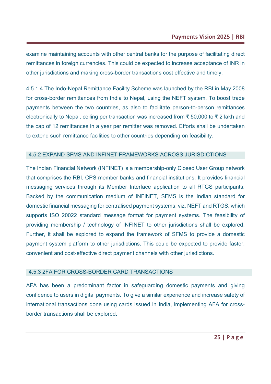examine maintaining accounts with other central banks for the purpose of facilitating direct remittances in foreign currencies. This could be expected to increase acceptance of INR in other jurisdictions and making cross-border transactions cost effective and timely.

4.5.1.4 The Indo-Nepal Remittance Facility Scheme was launched by the RBI in May 2008 for cross-border remittances from India to Nepal, using the NEFT system. To boost trade payments between the two countries, as also to facilitate person-to-person remittances electronically to Nepal, ceiling per transaction was increased from ₹ 50,000 to ₹ 2 lakh and the cap of 12 remittances in a year per remitter was removed. Efforts shall be undertaken to extend such remittance facilities to other countries depending on feasibility.

#### 4.5.2 EXPAND SFMS AND INFINET FRAMEWORKS ACROSS JURISDICTIONS

The Indian Financial Network (INFINET) is a membership-only Closed User Group network that comprises the RBI, CPS member banks and financial institutions. It provides financial messaging services through its Member Interface application to all RTGS participants. Backed by the communication medium of INFINET, SFMS is the Indian standard for domestic financial messaging for centralised payment systems, viz. NEFT and RTGS, which supports ISO 20022 standard message format for payment systems. The feasibility of providing membership / technology of INFINET to other jurisdictions shall be explored. Further, it shall be explored to expand the framework of SFMS to provide a domestic payment system platform to other jurisdictions. This could be expected to provide faster, convenient and cost-effective direct payment channels with other jurisdictions.

#### 4.5.3 2FA FOR CROSS-BORDER CARD TRANSACTIONS

AFA has been a predominant factor in safeguarding domestic payments and giving confidence to users in digital payments. To give a similar experience and increase safety of international transactions done using cards issued in India, implementing AFA for crossborder transactions shall be explored.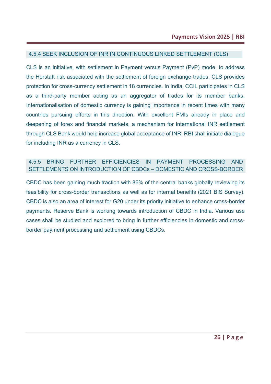#### 4.5.4 SEEK INCLUSION OF INR IN CONTINUOUS LINKED SETTLEMENT (CLS)

CLS is an initiative, with settlement in Payment versus Payment (PvP) mode, to address the Herstatt risk associated with the settlement of foreign exchange trades. CLS provides protection for cross-currency settlement in 18 currencies. In India, CCIL participates in CLS as a third-party member acting as an aggregator of trades for its member banks. Internationalisation of domestic currency is gaining importance in recent times with many countries pursuing efforts in this direction. With excellent FMIs already in place and deepening of forex and financial markets, a mechanism for international INR settlement through CLS Bank would help increase global acceptance of INR. RBI shall initiate dialogue for including INR as a currency in CLS.

#### 4.5.5 BRING FURTHER EFFICIENCIES IN PAYMENT PROCESSING AND SETTLEMENTS ON INTRODUCTION OF CBDCs – DOMESTIC AND CROSS-BORDER

CBDC has been gaining much traction with 86% of the central banks globally reviewing its feasibility for cross-border transactions as well as for internal benefits (2021 BIS Survey). CBDC is also an area of interest for G20 under its priority initiative to enhance cross-border payments. Reserve Bank is working towards introduction of CBDC in India. Various use cases shall be studied and explored to bring in further efficiencies in domestic and crossborder payment processing and settlement using CBDCs.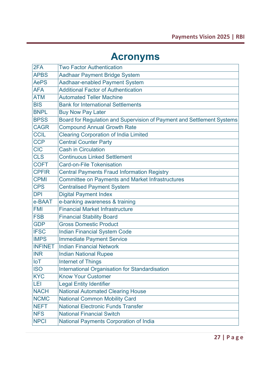# **Acronyms**

| 2FA            | <b>Two Factor Authentication</b>                                       |
|----------------|------------------------------------------------------------------------|
| <b>APBS</b>    | <b>Aadhaar Payment Bridge System</b>                                   |
| <b>AePS</b>    | Aadhaar-enabled Payment System                                         |
| <b>AFA</b>     | <b>Additional Factor of Authentication</b>                             |
| <b>ATM</b>     | <b>Automated Teller Machine</b>                                        |
| <b>BIS</b>     | <b>Bank for International Settlements</b>                              |
| <b>BNPL</b>    | <b>Buy Now Pay Later</b>                                               |
| <b>BPSS</b>    | Board for Regulation and Supervision of Payment and Settlement Systems |
| <b>CAGR</b>    | <b>Compound Annual Growth Rate</b>                                     |
| <b>CCIL</b>    | <b>Clearing Corporation of India Limited</b>                           |
| <b>CCP</b>     | <b>Central Counter Party</b>                                           |
| <b>CIC</b>     | <b>Cash in Circulation</b>                                             |
| <b>CLS</b>     | <b>Continuous Linked Settlement</b>                                    |
| <b>COFT</b>    | <b>Card-on-File Tokenisation</b>                                       |
| <b>CPFIR</b>   | <b>Central Payments Fraud Information Registry</b>                     |
| <b>CPMI</b>    | <b>Committee on Payments and Market Infrastructures</b>                |
| <b>CPS</b>     | <b>Centralised Payment System</b>                                      |
| <b>DPI</b>     | <b>Digital Payment Index</b>                                           |
| e-BAAT         | e-banking awareness & training                                         |
| <b>FMI</b>     | <b>Financial Market Infrastructure</b>                                 |
| <b>FSB</b>     | <b>Financial Stability Board</b>                                       |
| <b>GDP</b>     | <b>Gross Domestic Product</b>                                          |
| <b>IFSC</b>    | <b>Indian Financial System Code</b>                                    |
| <b>IMPS</b>    | <b>Immediate Payment Service</b>                                       |
| <b>INFINET</b> | <b>Indian Financial Network</b>                                        |
| <b>INR</b>     | <b>Indian National Rupee</b>                                           |
| IoT            | <b>Internet of Things</b>                                              |
| <b>ISO</b>     | International Organisation for Standardisation                         |
| <b>KYC</b>     | <b>Know Your Customer</b>                                              |
| LEI            | <b>Legal Entity Identifier</b>                                         |
| <b>NACH</b>    | <b>National Automated Clearing House</b>                               |
| <b>NCMC</b>    | <b>National Common Mobility Card</b>                                   |
| <b>NEFT</b>    | <b>National Electronic Funds Transfer</b>                              |
| <b>NFS</b>     | <b>National Financial Switch</b>                                       |
| <b>NPCI</b>    | National Payments Corporation of India                                 |